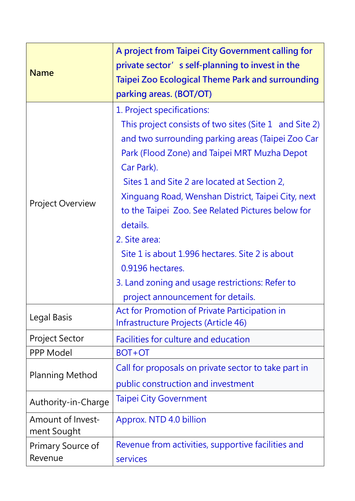| <b>Name</b>                      | A project from Taipei City Government calling for<br>private sector's self-planning to invest in the<br>Taipei Zoo Ecological Theme Park and surrounding<br>parking areas. (BOT/OT)                                                                                                                                                                                                                                                                                                                                                                            |
|----------------------------------|----------------------------------------------------------------------------------------------------------------------------------------------------------------------------------------------------------------------------------------------------------------------------------------------------------------------------------------------------------------------------------------------------------------------------------------------------------------------------------------------------------------------------------------------------------------|
| <b>Project Overview</b>          | 1. Project specifications:<br>This project consists of two sites (Site 1 and Site 2)<br>and two surrounding parking areas (Taipei Zoo Car<br>Park (Flood Zone) and Taipei MRT Muzha Depot<br>Car Park).<br>Sites 1 and Site 2 are located at Section 2,<br>Xinguang Road, Wenshan District, Taipei City, next<br>to the Taipei Zoo. See Related Pictures below for<br>details.<br>2. Site area:<br>Site 1 is about 1.996 hectares. Site 2 is about<br>0.9196 hectares.<br>3. Land zoning and usage restrictions: Refer to<br>project announcement for details. |
| Legal Basis                      | Act for Promotion of Private Participation in<br>Infrastructure Projects (Article 46)                                                                                                                                                                                                                                                                                                                                                                                                                                                                          |
| <b>Project Sector</b>            | Facilities for culture and education                                                                                                                                                                                                                                                                                                                                                                                                                                                                                                                           |
| PPP Model                        | BOT+OT                                                                                                                                                                                                                                                                                                                                                                                                                                                                                                                                                         |
| <b>Planning Method</b>           | Call for proposals on private sector to take part in<br>public construction and investment                                                                                                                                                                                                                                                                                                                                                                                                                                                                     |
| Authority-in-Charge              | <b>Taipei City Government</b>                                                                                                                                                                                                                                                                                                                                                                                                                                                                                                                                  |
| Amount of Invest-<br>ment Sought | Approx. NTD 4.0 billion                                                                                                                                                                                                                                                                                                                                                                                                                                                                                                                                        |
| Primary Source of<br>Revenue     | Revenue from activities, supportive facilities and<br>services                                                                                                                                                                                                                                                                                                                                                                                                                                                                                                 |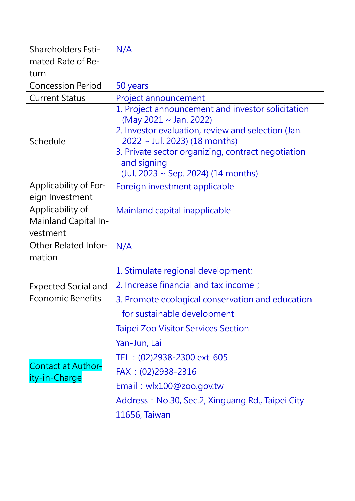| <b>Shareholders Esti-</b>                            | N/A                                                                                                                                                                                                                                                                                 |
|------------------------------------------------------|-------------------------------------------------------------------------------------------------------------------------------------------------------------------------------------------------------------------------------------------------------------------------------------|
| mated Rate of Re-                                    |                                                                                                                                                                                                                                                                                     |
| turn                                                 |                                                                                                                                                                                                                                                                                     |
| <b>Concession Period</b>                             | 50 years                                                                                                                                                                                                                                                                            |
| <b>Current Status</b>                                | Project announcement                                                                                                                                                                                                                                                                |
| Schedule                                             | 1. Project announcement and investor solicitation<br>(May 2021 ~ Jan. 2022)<br>2. Investor evaluation, review and selection (Jan.<br>$2022 \sim$ Jul. 2023) (18 months)<br>3. Private sector organizing, contract negotiation<br>and signing<br>(Jul. 2023 ~ Sep. 2024) (14 months) |
| Applicability of For-<br>eign Investment             | Foreign investment applicable                                                                                                                                                                                                                                                       |
| Applicability of<br>Mainland Capital In-<br>vestment | Mainland capital inapplicable                                                                                                                                                                                                                                                       |
| <b>Other Related Infor-</b><br>mation                | N/A                                                                                                                                                                                                                                                                                 |
| <b>Expected Social and</b>                           | 1. Stimulate regional development;                                                                                                                                                                                                                                                  |
|                                                      | 2. Increase financial and tax income;                                                                                                                                                                                                                                               |
| <b>Economic Benefits</b>                             | 3. Promote ecological conservation and education                                                                                                                                                                                                                                    |
|                                                      | for sustainable development                                                                                                                                                                                                                                                         |
| <b>Contact at Author-</b><br>ity-in-Charge           | <b>Taipei Zoo Visitor Services Section</b>                                                                                                                                                                                                                                          |
|                                                      | Yan-Jun, Lai                                                                                                                                                                                                                                                                        |
|                                                      | TEL: (02)2938-2300 ext. 605                                                                                                                                                                                                                                                         |
|                                                      | FAX: (02)2938-2316                                                                                                                                                                                                                                                                  |
|                                                      | Email: wlx100@zoo.gov.tw                                                                                                                                                                                                                                                            |
|                                                      | Address: No.30, Sec.2, Xinguang Rd., Taipei City                                                                                                                                                                                                                                    |
|                                                      | 11656, Taiwan                                                                                                                                                                                                                                                                       |
|                                                      |                                                                                                                                                                                                                                                                                     |